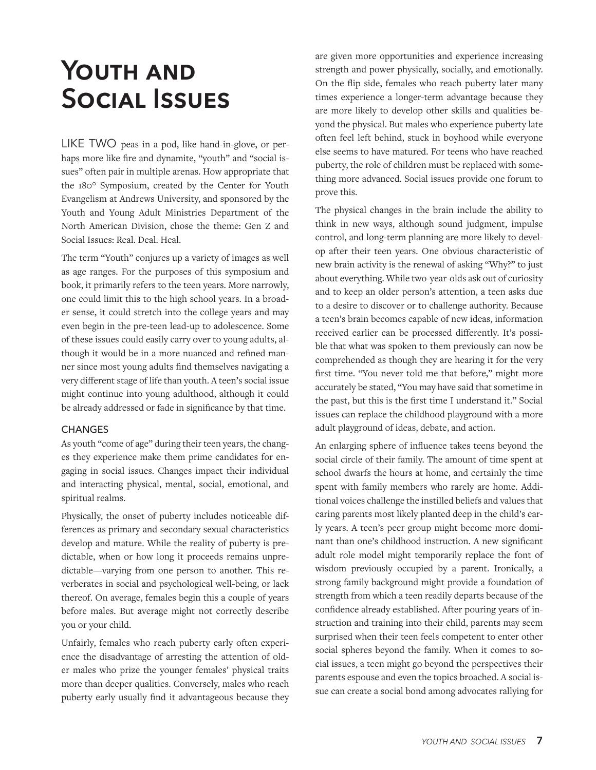# **Youth and Social Issues**

LIKE TWO peas in a pod, like hand-in-glove, or perhaps more like fire and dynamite, "youth" and "social issues" often pair in multiple arenas. How appropriate that the 180° Symposium, created by the Center for Youth Evangelism at Andrews University, and sponsored by the Youth and Young Adult Ministries Department of the North American Division, chose the theme: Gen Z and Social Issues: Real. Deal. Heal.

The term "Youth" conjures up a variety of images as well as age ranges. For the purposes of this symposium and book, it primarily refers to the teen years. More narrowly, one could limit this to the high school years. In a broader sense, it could stretch into the college years and may even begin in the pre-teen lead-up to adolescence. Some of these issues could easily carry over to young adults, although it would be in a more nuanced and refined manner since most young adults find themselves navigating a very different stage of life than youth. A teen's social issue might continue into young adulthood, although it could be already addressed or fade in significance by that time.

#### **CHANGES**

As youth "come of age" during their teen years, the changes they experience make them prime candidates for engaging in social issues. Changes impact their individual and interacting physical, mental, social, emotional, and spiritual realms.

Physically, the onset of puberty includes noticeable differences as primary and secondary sexual characteristics develop and mature. While the reality of puberty is predictable, when or how long it proceeds remains unpredictable—varying from one person to another. This reverberates in social and psychological well-being, or lack thereof. On average, females begin this a couple of years before males. But average might not correctly describe you or your child.

Unfairly, females who reach puberty early often experience the disadvantage of arresting the attention of older males who prize the younger females' physical traits more than deeper qualities. Conversely, males who reach puberty early usually find it advantageous because they are given more opportunities and experience increasing strength and power physically, socially, and emotionally. On the flip side, females who reach puberty later many times experience a longer-term advantage because they are more likely to develop other skills and qualities beyond the physical. But males who experience puberty late often feel left behind, stuck in boyhood while everyone else seems to have matured. For teens who have reached puberty, the role of children must be replaced with something more advanced. Social issues provide one forum to prove this.

The physical changes in the brain include the ability to think in new ways, although sound judgment, impulse control, and long-term planning are more likely to develop after their teen years. One obvious characteristic of new brain activity is the renewal of asking "Why?" to just about everything. While two-year-olds ask out of curiosity and to keep an older person's attention, a teen asks due to a desire to discover or to challenge authority. Because a teen's brain becomes capable of new ideas, information received earlier can be processed differently. It's possible that what was spoken to them previously can now be comprehended as though they are hearing it for the very first time. "You never told me that before," might more accurately be stated, "You may have said that sometime in the past, but this is the first time I understand it." Social issues can replace the childhood playground with a more adult playground of ideas, debate, and action.

An enlarging sphere of influence takes teens beyond the social circle of their family. The amount of time spent at school dwarfs the hours at home, and certainly the time spent with family members who rarely are home. Additional voices challenge the instilled beliefs and values that caring parents most likely planted deep in the child's early years. A teen's peer group might become more dominant than one's childhood instruction. A new significant adult role model might temporarily replace the font of wisdom previously occupied by a parent. Ironically, a strong family background might provide a foundation of strength from which a teen readily departs because of the confidence already established. After pouring years of instruction and training into their child, parents may seem surprised when their teen feels competent to enter other social spheres beyond the family. When it comes to social issues, a teen might go beyond the perspectives their parents espouse and even the topics broached. A social issue can create a social bond among advocates rallying for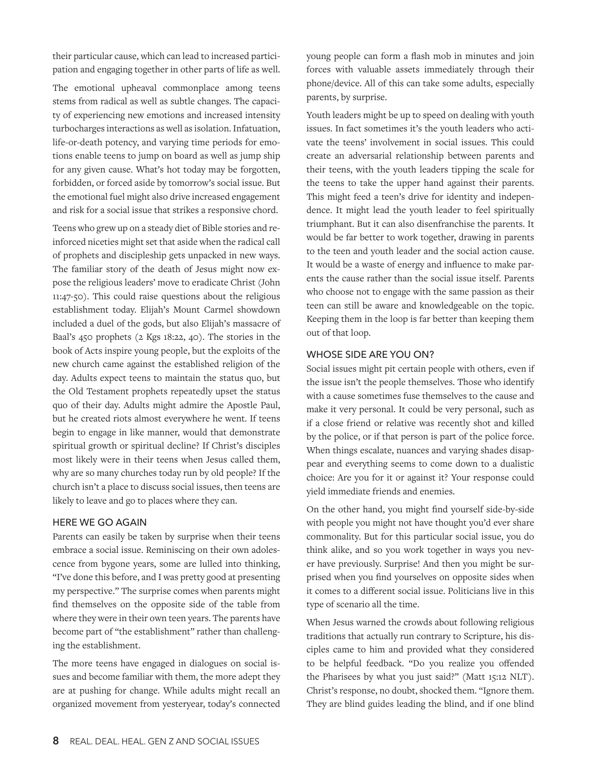their particular cause, which can lead to increased participation and engaging together in other parts of life as well.

The emotional upheaval commonplace among teens stems from radical as well as subtle changes. The capacity of experiencing new emotions and increased intensity turbocharges interactions as well as isolation. Infatuation, life-or-death potency, and varying time periods for emotions enable teens to jump on board as well as jump ship for any given cause. What's hot today may be forgotten, forbidden, or forced aside by tomorrow's social issue. But the emotional fuel might also drive increased engagement and risk for a social issue that strikes a responsive chord.

Teens who grew up on a steady diet of Bible stories and reinforced niceties might set that aside when the radical call of prophets and discipleship gets unpacked in new ways. The familiar story of the death of Jesus might now expose the religious leaders' move to eradicate Christ (John 11:47-50). This could raise questions about the religious establishment today. Elijah's Mount Carmel showdown included a duel of the gods, but also Elijah's massacre of Baal's 450 prophets (2 Kgs 18:22, 40). The stories in the book of Acts inspire young people, but the exploits of the new church came against the established religion of the day. Adults expect teens to maintain the status quo, but the Old Testament prophets repeatedly upset the status quo of their day. Adults might admire the Apostle Paul, but he created riots almost everywhere he went. If teens begin to engage in like manner, would that demonstrate spiritual growth or spiritual decline? If Christ's disciples most likely were in their teens when Jesus called them, why are so many churches today run by old people? If the church isn't a place to discuss social issues, then teens are likely to leave and go to places where they can.

#### HERE WE GO AGAIN

Parents can easily be taken by surprise when their teens embrace a social issue. Reminiscing on their own adolescence from bygone years, some are lulled into thinking, "I've done this before, and I was pretty good at presenting my perspective." The surprise comes when parents might find themselves on the opposite side of the table from where they were in their own teen years. The parents have become part of "the establishment" rather than challenging the establishment.

The more teens have engaged in dialogues on social issues and become familiar with them, the more adept they are at pushing for change. While adults might recall an organized movement from yesteryear, today's connected

young people can form a flash mob in minutes and join forces with valuable assets immediately through their phone/device. All of this can take some adults, especially parents, by surprise.

Youth leaders might be up to speed on dealing with youth issues. In fact sometimes it's the youth leaders who activate the teens' involvement in social issues. This could create an adversarial relationship between parents and their teens, with the youth leaders tipping the scale for the teens to take the upper hand against their parents. This might feed a teen's drive for identity and independence. It might lead the youth leader to feel spiritually triumphant. But it can also disenfranchise the parents. It would be far better to work together, drawing in parents to the teen and youth leader and the social action cause. It would be a waste of energy and influence to make parents the cause rather than the social issue itself. Parents who choose not to engage with the same passion as their teen can still be aware and knowledgeable on the topic. Keeping them in the loop is far better than keeping them out of that loop.

## WHOSE SIDE ARE YOU ON?

Social issues might pit certain people with others, even if the issue isn't the people themselves. Those who identify with a cause sometimes fuse themselves to the cause and make it very personal. It could be very personal, such as if a close friend or relative was recently shot and killed by the police, or if that person is part of the police force. When things escalate, nuances and varying shades disappear and everything seems to come down to a dualistic choice: Are you for it or against it? Your response could yield immediate friends and enemies.

On the other hand, you might find yourself side-by-side with people you might not have thought you'd ever share commonality. But for this particular social issue, you do think alike, and so you work together in ways you never have previously. Surprise! And then you might be surprised when you find yourselves on opposite sides when it comes to a different social issue. Politicians live in this type of scenario all the time.

When Jesus warned the crowds about following religious traditions that actually run contrary to Scripture, his disciples came to him and provided what they considered to be helpful feedback. "Do you realize you offended the Pharisees by what you just said?" (Matt 15:12 NLT). Christ's response, no doubt, shocked them. "Ignore them. They are blind guides leading the blind, and if one blind